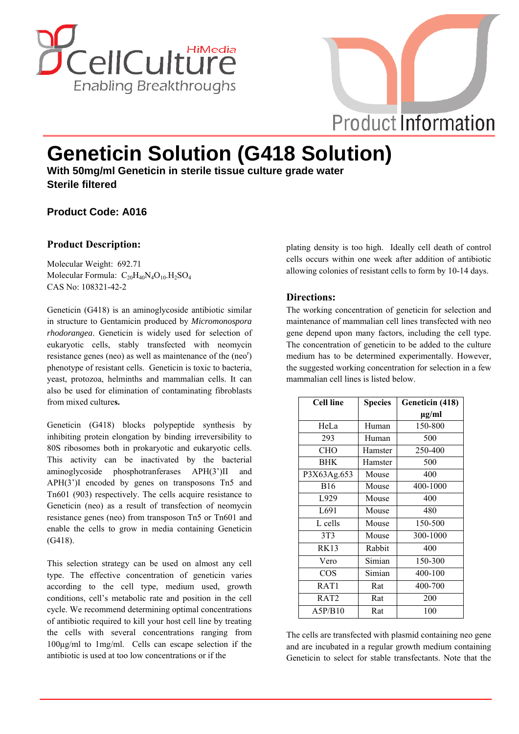



# **Geneticin Solution (G418 Solution)**

**With 50mg/ml Geneticin in sterile tissue culture grade water Sterile filtered**

# **Product Code: A016**

# **Product Description:**

Molecular Weight: 692.71 Molecular Formula:  $C_{20}H_{40}N_4O_{10}.H_2SO_4$ CAS No: 108321-42-2

Geneticin (G418) is an aminoglycoside antibiotic similar in structure to Gentamicin produced by *Micromonospora rhodorangea*. Geneticin is widely used for selection of eukaryotic cells, stably transfected with neomycin resistance genes (neo) as well as maintenance of the (neo<sup>r</sup>) phenotype of resistant cells. Geneticin is toxic to bacteria, yeast, protozoa, helminths and mammalian cells. It can also be used for elimination of contaminating fibroblasts from mixed culture**s.**

Geneticin (G418) blocks polypeptide synthesis by inhibiting protein elongation by binding irreversibility to 80S ribosomes both in prokaryotic and eukaryotic cells. This activity can be inactivated by the bacterial aminoglycoside phosphotranferases APH(3')II and APH(3')I encoded by genes on transposons Tn5 and Tn601 (903) respectively. The cells acquire resistance to Geneticin (neo) as a result of transfection of neomycin resistance genes (neo) from transposon Tn5 or Tn601 and enable the cells to grow in media containing Geneticin (G418).

This selection strategy can be used on almost any cell type. The effective concentration of geneticin varies according to the cell type, medium used, growth conditions, cell's metabolic rate and position in the cell cycle. We recommend determining optimal concentrations of antibiotic required to kill your host cell line by treating the cells with several concentrations ranging from 100μg/ml to 1mg/ml. Cells can escape selection if the antibiotic is used at too low concentrations or if the

plating density is too high. Ideally cell death of control cells occurs within one week after addition of antibiotic allowing colonies of resistant cells to form by 10-14 days.

# **Directions:**

The working concentration of geneticin for selection and maintenance of mammalian cell lines transfected with neo gene depend upon many factors, including the cell type. The concentration of geneticin to be added to the culture medium has to be determined experimentally. However, the suggested working concentration for selection in a few mammalian cell lines is listed below.

| <b>Cell line</b> | <b>Species</b> | Geneticin (418) |
|------------------|----------------|-----------------|
|                  |                | µg/ml           |
| HeLa             | Human          | 150-800         |
| 293              | Human          | 500             |
| CHO              | Hamster        | 250-400         |
| <b>BHK</b>       | Hamster        | 500             |
| P3X63Ag.653      | Mouse          | 400             |
| <b>B</b> 16      | Mouse          | 400-1000        |
| L929             | Mouse          | 400             |
| L691             | Mouse          | 480             |
| L cells          | Mouse          | 150-500         |
| 3T <sub>3</sub>  | Mouse          | 300-1000        |
| <b>RK13</b>      | Rabbit         | 400             |
| Vero             | Simian         | 150-300         |
| <b>COS</b>       | Simian         | 400-100         |
| RAT1             | Rat            | 400-700         |
| RAT2             | Rat            | 200             |
| A5P/B10          | Rat            | 100             |

The cells are transfected with plasmid containing neo gene and are incubated in a regular growth medium containing Geneticin to select for stable transfectants. Note that the